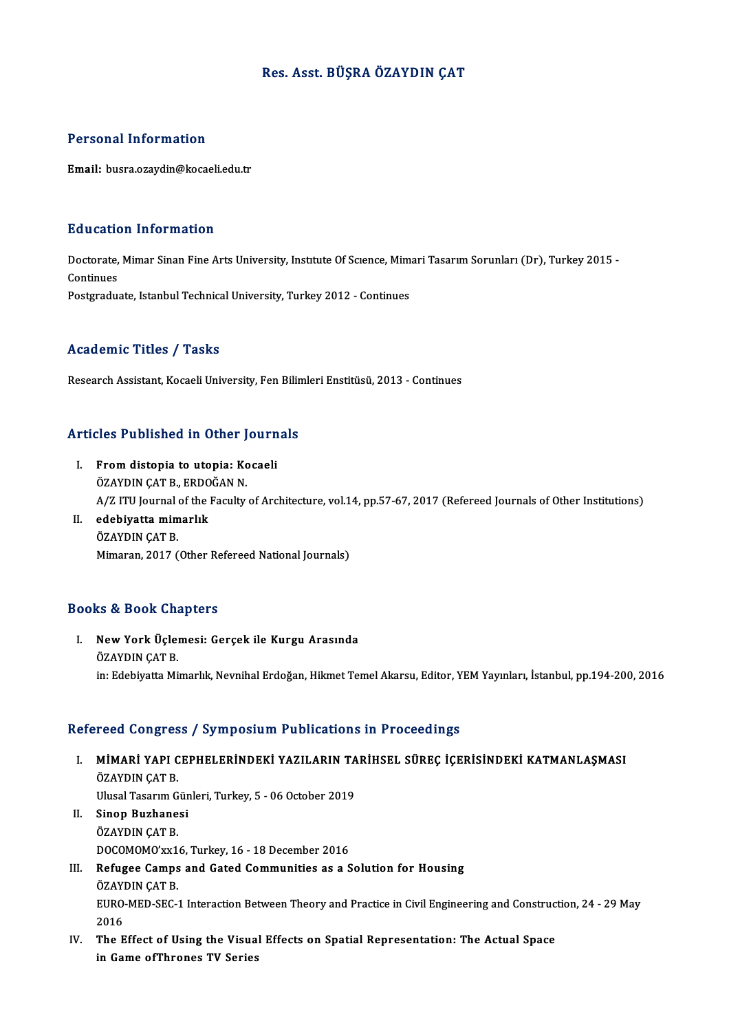# Res. Asst. BÜŞRA ÖZAYDIN ÇAT

# Personal Information

Email: busra.ozaydin@kocaeli.edu.tr

# Education Information

**Education Information**<br>Doctorate, Mimar Sinan Fine Arts University, Institute Of Scıence, Mimari Tasarım Sorunları (Dr), Turkey 2015 -<br>Continues Doctorate,<br>Continues<br>Postaredus Doctorate, Mimar Sinan Fine Arts University, Institute Of Science, Mim<br>Continues<br>Postgraduate, Istanbul Technical University, Turkey 2012 - Continues Postgraduate, Istanbul Technical University, Turkey 2012 - Continues<br>Academic Titles / Tasks

Research Assistant, Kocaeli University, Fen Bilimleri Enstitüsü, 2013 - Continues

# Research Assistant, Kocaell University, Fen Bliln<br>Articles Published in Other Journals

- rticles Published in Other Journ<br>I. From distopia to utopia: Kocaeli<br>ÖZAYDIN CAT B. ERDOČAN N I. From distopia to utopia: Kocaeli<br>ÖZAYDIN ÇAT B., ERDOĞAN N. From distopia to utopia: Kocaeli<br>ÖZAYDIN ÇAT B., ERDOĞAN N.<br>A/Z ITU Journal of the Faculty of Architecture, vol.14, pp.57-67, 2017 (Refereed Journals of Other Institutions)
- II. edebiyatta mimarlık<br>ÖZAYDIN ÇAT B. A/Z ITU Journal<br><mark>edebiyatta mim</mark><br>ÖZAYDIN ÇAT B.<br>Mimaran 2017 ( Mimaran, 2017 (Other Refereed National Journals)

# Books&Book Chapters

ooks & Book Chapters<br>I. New York Üçlemesi: Gerçek ile Kurgu Arasında<br>ÖZAYDIN CAT B to & Book and<br>New York Üçler<br>ÖZAYDIN ÇAT B.<br>in: Edebiyatta Mi ÖZAYDIN ÇAT B.<br>in: Edebiyatta Mimarlık, Nevnihal Erdoğan, Hikmet Temel Akarsu, Editor, YEM Yayınları, İstanbul, pp.194-200, 2016

## Refereed Congress / Symposium Publications in Proceedings

- efereed Congress / Symposium Publications in Proceedings<br>I. MİMARİ YAPI CEPHELERİNDEKİ YAZILARIN TARİHSEL SÜREÇ İÇERİSİNDEKİ KATMANLAŞMASI<br>ÖZAYDIN CAT P rood oongroo<br>MiMARI YAPI C<br>ÖZAYDIN ÇAT B.<br><sup>Hlusal Tacarım</sup> C MİMARİ YAPI CEPHELERİNDEKİ YAZILARIN TA<br>ÖZAYDIN ÇAT B.<br>Ulusal Tasarım Günleri, Turkey, 5 - 06 October 2019<br>Sinon Bugbanesi ÖZAYDIN ÇAT B.<br>Ulusal Tasarım Gür<br>II. **Sinop Buzhanesi**<br>ÖZAYDIN CAT B. Ulusal Tasarım Günleri, Turkey, 5 - 06 October 2019
- Sinop Buzhanesi<br>ÖZAYDIN ÇAT B.<br>DOCOMOMO'xx16, Turkey, 16 18 December 2016<br>Befugee Camps and Cated Communities as a S
- III. Refugee Camps and Gated Communities as a Solution for Housing ÖZAYDIN CAT B. DOCOMOMO'xx1<br>Refugee Camps<br>ÖZAYDIN ÇAT B.<br>EUPO MED SEC : Refugee Camps and Gated Communities as a Solution for Housing<br>ÖZAYDIN ÇAT B.<br>EURO-MED-SEC-1 Interaction Between Theory and Practice in Civil Engineering and Construction, 24 - 29 May<br>2016 ÖZAYI<br>EURO<br>2016<br>The F EURO-MED-SEC-1 Interaction Between Theory and Practice in Civil Engineering and Construc<br>2016<br>IV. The Effect of Using the Visual Effects on Spatial Representation: The Actual Space<br>in Came of Theorece TV Series
- 2016<br>IV. The Effect of Using the Visual Effects on Spatial Representation: The Actual Space<br>in Game ofThrones TV Series